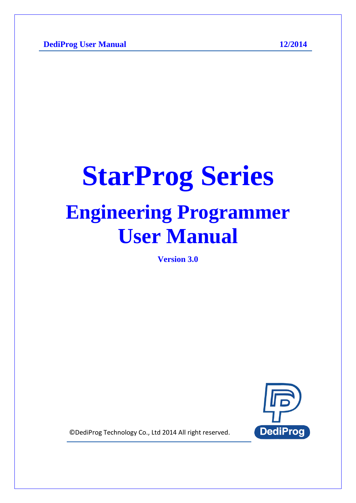# **StarProg Series Engineering Programmer User Manual**

**Version 3.0**



© DediProg Technology Co., Ltd 2014 All right reserved.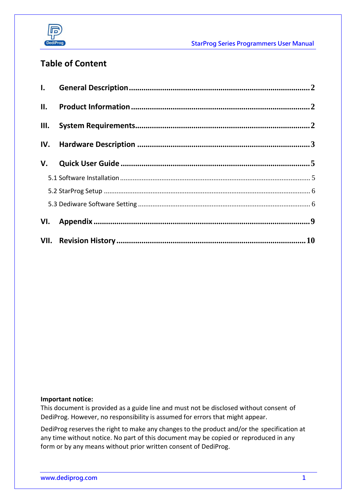

StarProg Series Programmers User Manual

# **Table of Content**

| III. |  |
|------|--|
|      |  |
|      |  |

#### **Important notice:**

This document is provided as a guide line and must not be disclosed without consent of DediProg. However, no responsibility is assumed for errors that might appear.

DediProg reserves the right to make any changes to the product and/or the specification at any time without notice. No part of this document may be copied or reproduced in any form or by any means without prior written consent of DediProg.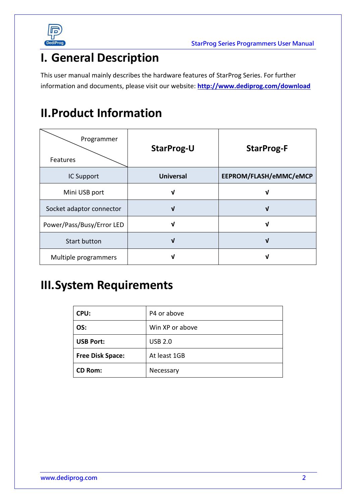

# <span id="page-2-0"></span>**I. General Description**

This user manual mainly describes the hardware features of StarProg Series. For further information and documents, please visit our website: **<http://www.dediprog.com/download>**

# <span id="page-2-1"></span>**II.Product Information**

| Programmer<br>Features    | <b>StarProg-U</b> | <b>StarProg-F</b>      |
|---------------------------|-------------------|------------------------|
| IC Support                | <b>Universal</b>  | EEPROM/FLASH/eMMC/eMCP |
| Mini USB port             | ν                 | V                      |
| Socket adaptor connector  | V                 | J                      |
| Power/Pass/Busy/Error LED | ν                 | ν                      |
| <b>Start button</b>       | V                 | V                      |
| Multiple programmers      |                   | V                      |

# <span id="page-2-2"></span>**III.System Requirements**

| CPU:                    | P4 or above     |
|-------------------------|-----------------|
| OS:                     | Win XP or above |
| <b>USB Port:</b>        | <b>USB 2.0</b>  |
| <b>Free Disk Space:</b> | At least 1GB    |
| <b>CD Rom:</b>          | Necessary       |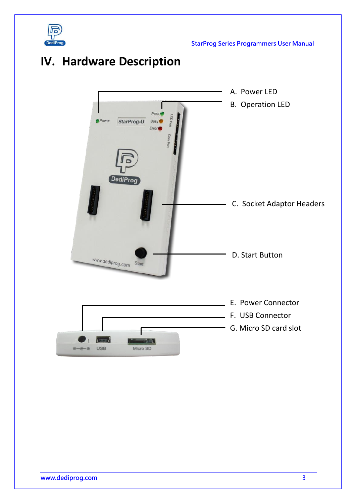

StarProg Series Programmers User Manual

# <span id="page-3-0"></span>**IV. Hardware Description**

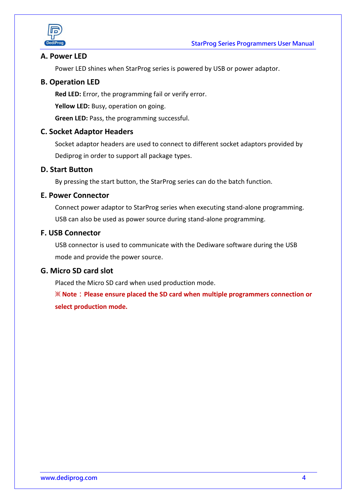

## **A. Power LED**

Power LED shines when StarProg series is powered by USB or power adaptor.

## **B. Operation LED**

**Red LED:** Error, the programming fail or verify error.

**Yellow LED:** Busy, operation on going.

**Green LED:** Pass, the programming successful.

### **C. Socket Adaptor Headers**

Socket adaptor headers are used to connect to different socket adaptors provided by Dediprog in order to support all package types.

## **D. Start Button**

By pressing the start button, the StarProg series can do the batch function.

### **E. Power Connector**

Connect power adaptor to StarProg series when executing stand-alone programming. USB can also be used as power source during stand-alone programming.

## **F. USB Connector**

USB connector is used to communicate with the Dediware software during the USB mode and provide the power source.

### **G. Micro SD card slot**

Placed the Micro SD card when used production mode.

※ **Note**:**Please ensure placed the SD card when multiple programmers connection or select production mode.**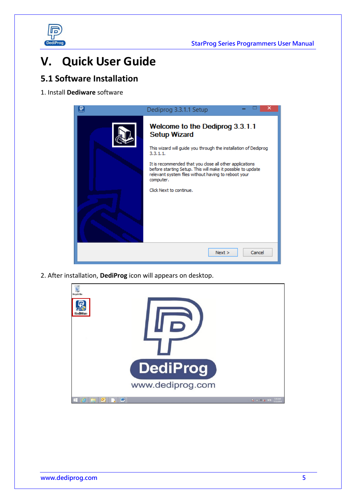

# <span id="page-5-0"></span>**V. Quick User Guide**

# <span id="page-5-1"></span>**5.1 Software Installation**

1. Install **Dediware** software



2. After installation, **DediProg** icon will appears on desktop.

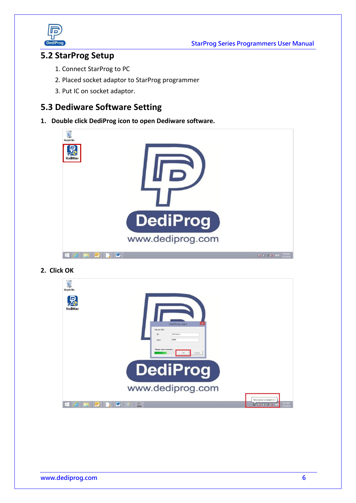



# <span id="page-6-0"></span>**5.2 StarProg Setup**

- 1. Connect StarProg to PC
- 2. Placed socket adaptor to StarProg programmer
- 3. Put IC on socket adaptor.

# <span id="page-6-1"></span>**5.3 Dediware Software Setting**

**1. Double click DediProg icon to open Dediware software.**



**2. Click OK**

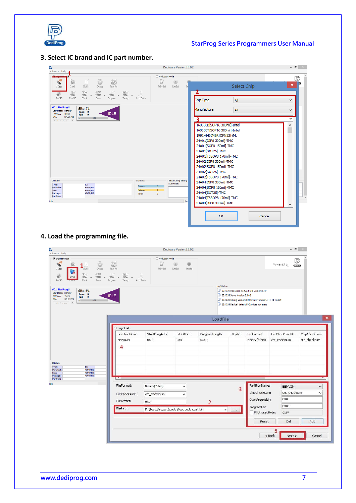

# **3. Select IC brand and IC part number.**

| Ø<br>Advance Help                                                                                                                                                                              |                                                                                           | Dediware Version:3.3.0.2                                   |                                                                                                                                                                                                                                                                                                                 |                    | $   -$            |
|------------------------------------------------------------------------------------------------------------------------------------------------------------------------------------------------|-------------------------------------------------------------------------------------------|------------------------------------------------------------|-----------------------------------------------------------------------------------------------------------------------------------------------------------------------------------------------------------------------------------------------------------------------------------------------------------------|--------------------|-------------------|
| ۵<br>$\frac{1}{PROJ}$<br>G<br>×<br>Save Prj<br>Select<br>Load.<br><b>Buffer</b><br>Config<br>$2_{rr}$<br>$\mathbb{I}$ F F<br>$-7$<br>m<br>ReadID<br>ReadIC<br><b>Blank</b><br>Erase<br>Program | D7<br>SelectPrj<br>Verify<br>Auto Batch                                                   | O Production Mode<br>$\bullet$<br>RunPrj<br>$\mathbb{S}^n$ | Chip Type                                                                                                                                                                                                                                                                                                       | Select Chip<br>All | ß<br> ∞<br>×<br>v |
| #01 StarProgU<br>Site $#1$<br>StartMode: Handler<br>Pass: 0<br><b>IDLE</b><br>F/W Ver: 2.0.3<br>Fail:<br>$\bullet$<br>SPU25720<br>S/N:<br>N<br>0.0%<br><b>PRIGHT</b><br>$-2$                   |                                                                                           |                                                            | Manufacture<br>160S33B[SOP16 300mil]-Intel<br>160S33T[SOP16 300mil]-Intel<br>1991-H407N6R [QFN32]-iML<br>24A01 [DIP8 300mil]-TMC<br>24A01[SOP8 150mil]-TMC<br>24A01[SOT25]-TMC<br>24A01[TSSOP8 170mil]-TMC<br>24A02[DIP8 300mil]-TMC<br>24A02[SOP8 150mil]-TMC<br>24A02[SOT25]-TMC<br>24A02 TSSOP8 170mil - TMC | All                | v<br>v<br>۸       |
| ChipInfo<br>ID:<br>Type:<br>ADP P/N1:<br>Manufact:<br>ADP P/N2:<br>Size:<br>ADP P/N3:<br>Package:<br>PartNum:<br>Idle                                                                          | <b>Statistics</b><br>Success:<br>$\Omega$<br>Failure:<br>$\bullet$<br>Total:<br>$\bullet$ | <b>Batch Config Setting</b><br>StartMode:<br>Pro           | 24A04[DIP8 300mil]-TMC<br>24A04[SOP8 150mil]-TMC<br>24A04[SOT25]-TMC<br>24A04[TSSOP8 170mil]-TMC<br>24A08[DIP8 300mil]-TMC<br>OK                                                                                                                                                                                | Cancel             | $\checkmark$      |

**4. Load the programming file.**

| Advance Help                                                                                                                                                                                                                           |                                                                                                    |                                         | Dediware Version:3.3.0.2           |                       |                                   |                                                                                                                                                                   | $   -$                                             |                              |
|----------------------------------------------------------------------------------------------------------------------------------------------------------------------------------------------------------------------------------------|----------------------------------------------------------------------------------------------------|-----------------------------------------|------------------------------------|-----------------------|-----------------------------------|-------------------------------------------------------------------------------------------------------------------------------------------------------------------|----------------------------------------------------|------------------------------|
| <b>Engineer Mode</b><br>Ô<br>$\mathbf{v}$<br>G<br>Select<br><b>Buffer</b><br>Config<br>E<br>$\Downarrow$ F F<br>$2\pi$<br>$\frac{1}{\sqrt{2}}$<br>Load<br><b>Report</b><br>250<br>ReadID<br>Blank<br>Erase<br>Program<br><b>Kesuru</b> | $\frac{1}{PROJ}$<br>Save Pri<br>Q<br>$\mathcal{L}$<br>$-7$<br><b>STORY</b><br>Verify<br>Auto Batch | O Production Mode<br>D)<br>SelectPrj    | $\oplus$<br>۰<br>RunPri<br>StopPrj | Log Window            |                                   |                                                                                                                                                                   | $\bigoplus_{\text{odd } \text{reg}}$<br>Powered by |                              |
| #01 StarProgU<br>Site $#1$<br>StartMode: Handler<br>Pass: 0<br><b>IDLE</b><br>F/W Ver: 2.0.3<br>Fail: 0<br>SPU25720<br>$S/N$ :<br>N<br>0.0%<br><b>EA</b><br>minute.<br>$n = 1$                                                         |                                                                                                    |                                         |                                    |                       | 1 23:10:39:Server Version:3.3.0.2 | 23:10:39:DediWare startup,Build Version:3.3.0<br>3:10:39:Config Version:3.00, Create Time:2014-11-14 16:46:51<br>12 23:10:39:Device1 default FPGA does not exists |                                                    |                              |
|                                                                                                                                                                                                                                        |                                                                                                    |                                         |                                    | LoadFile              |                                   |                                                                                                                                                                   |                                                    |                              |
|                                                                                                                                                                                                                                        | ImageList<br>PartitionName<br>EEPROM<br>4                                                          | StartProgAddr<br>0XO                    | FileOffset<br>0X0                  | ProgramLength<br>0X80 | FillByte                          | FileFormat<br>Binary(*.bin)                                                                                                                                       | FileCheckSumM<br>crc_checksum                      | ChipCheckSum<br>crc_checksum |
| ChipInfo<br>ID:<br>Type:<br>ADP P/N1:<br>Manufact:<br>ADP P/N2:<br>Size:<br>ADP P/N3:<br>Package:<br>PartNum:                                                                                                                          |                                                                                                    |                                         |                                    |                       |                                   |                                                                                                                                                                   |                                                    |                              |
|                                                                                                                                                                                                                                        | FileFormat:<br>FileChecksum:<br>FileOffset:                                                        | Binary(*.bin)<br>crc_checksum<br>0X0    | $\checkmark$<br>$\checkmark$       | $\overline{2}$        | 3                                 | PartitionName:<br>ChipCheckSum:<br>StartProgAddr:                                                                                                                 | EEPROM<br>crc_checksum<br>0XO                      | Ŵ<br>v                       |
|                                                                                                                                                                                                                                        | FilePath:                                                                                          | D:\Test_Project&code\Test code\test.bin |                                    | v                     | $\dddotsc$                        | ProgramLen:<br>FillUnusedByte:                                                                                                                                    | 0X80<br><b>OXFF</b>                                |                              |
|                                                                                                                                                                                                                                        |                                                                                                    |                                         |                                    |                       |                                   | Reset                                                                                                                                                             | Del                                                | Add                          |
|                                                                                                                                                                                                                                        |                                                                                                    |                                         |                                    |                       |                                   |                                                                                                                                                                   | 5<br>$<$ Back<br>Next                              | Cancel                       |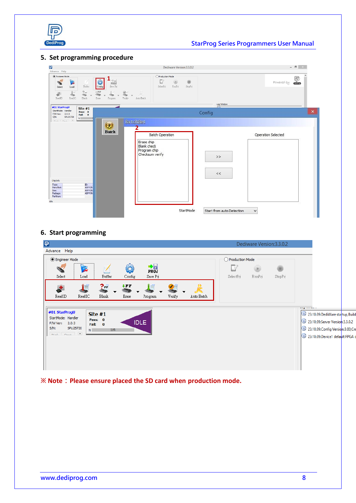

## StarProg Series Programmers User Manual

#### **5. Set programming procedure**

| Ð<br>Advance Help                                                                                                                                                                                                                                                | Dediware Version:3.3.0.2                                                                                      | $  \sqrt{2}$ $\times$                     |
|------------------------------------------------------------------------------------------------------------------------------------------------------------------------------------------------------------------------------------------------------------------|---------------------------------------------------------------------------------------------------------------|-------------------------------------------|
| (C) Encineer Mode<br>Ĝ<br>$F_{R0J}$<br>Z<br>$\mathscr{I}$<br>Save Prj<br><b>Buffer</b><br>Config<br>$_{\texttt{Load}}$<br>Select<br>$2\pi$<br>$\overline{1}$<br>$\mathbb{I}$ FF<br>N<br>海<br>☜<br>ReadIC<br>ReadID<br><b>Blank</b><br>Erase<br>Verify<br>Program | O Production Mode<br>D<br>$\oplus$<br>۰<br>SelectPrj<br>RunPrj<br>StopPrj<br>R<br>Auto Batch                  | $\mathbb{P}$<br>Powered by                |
| #01 StarProgU<br>Site $#1$<br>StartMode: Handler<br>Pass: 0<br>F/W Ver: 2.0.3<br>Fail: 0<br>$S/N$ :<br>SPU25720<br>N<br>was 11<br>$\sim$<br><b>PALLE</b>                                                                                                         | $\overline{K}$<br>Config<br>BatchSet                                                                          | Log Window<br>$\pmb{\times}$              |
| $\circledast$<br><b>Batch</b><br>ChipInfo<br>Type:<br>ID:<br>ADP P/N<br>Manufact:<br>ADP P/N.<br>Size:<br>ADP P/N:<br>Package:<br>PartNum:<br>Idle                                                                                                               | <b>Batch Operation</b><br>Erase chip<br><b>Blank</b> check<br>Program chip<br>Checksum verify<br>$>>$<br>$<<$ | Operation Selected                        |
|                                                                                                                                                                                                                                                                  | StartMode                                                                                                     | Start from auto Detection<br>$\checkmark$ |

#### **6. Start programming**

| $\overline{P}$                                                                                                                                             | Dediware Version: 3.3.0.2      |                                                                                                                                                       |
|------------------------------------------------------------------------------------------------------------------------------------------------------------|--------------------------------|-------------------------------------------------------------------------------------------------------------------------------------------------------|
| Advance Help                                                                                                                                               |                                |                                                                                                                                                       |
| <b>Engineer Mode</b>                                                                                                                                       | Production Mode                |                                                                                                                                                       |
| $\frac{1}{PROJ}$<br>Ř<br>2<br>Save Prj<br>Select<br>Load<br>Buffer<br>Config                                                                               | SelectPri<br>RunPrj<br>StopPrj |                                                                                                                                                       |
| $\downarrow$ FF<br>$P_{\text{FF}}$<br>È<br>d.<br>自<br>æ<br>ReadID<br>ReadIC<br><b>Blank</b><br>Verify<br>Erase<br>Auto Batch<br>Program                    |                                |                                                                                                                                                       |
| #01 StarProgU<br>Site $#1$<br>StartMode: Handler<br>Pass: 0<br><b>IDLE</b><br>F/W Ver: 2.0.3<br>Fail: 0<br>$S/N$ :<br>SPU25720<br>0.0%<br>N<br>mail rise 4 | ng mening                      | 13:10:39:DediWare statup, Build<br>(1) 23:10:39:Server Version:3.3.0.2<br>[1] 23:10:39:Config Version:3.00,Cro<br>(1) 23:10:39:Device1 default FPGA o |

※ **Note**:**Please ensure placed the SD card when production mode.**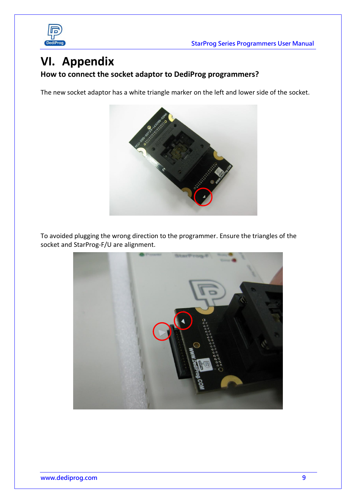



# <span id="page-9-0"></span>**VI. Appendix**

## **How to connect the socket adaptor to DediProg programmers?**

The new socket adaptor has a white triangle marker on the left and lower side of the socket.



To avoided plugging the wrong direction to the programmer. Ensure the triangles of the socket and StarProg-F/U are alignment.